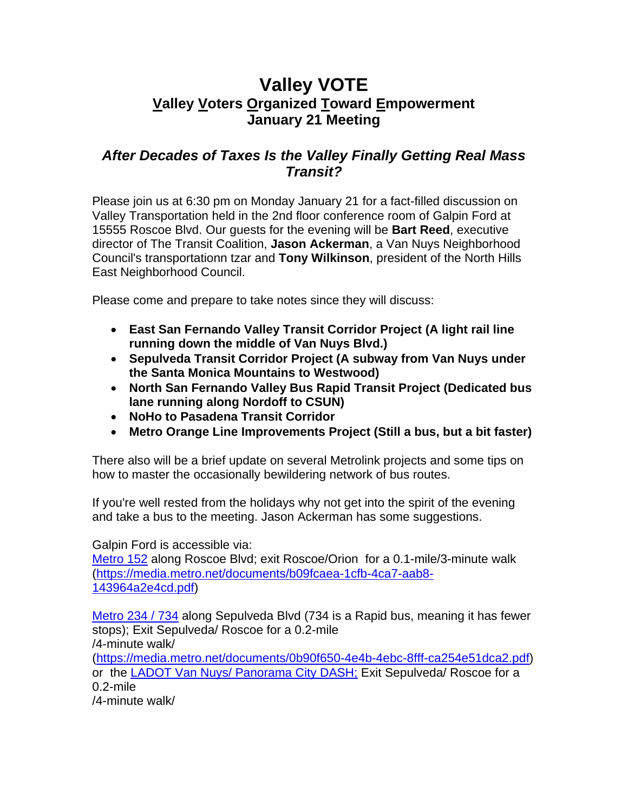## **Valley VOTE Valley Voters Organized Toward Empowerment January 21 Meeting**

## *After Decades of Taxes Is the Valley Finally Getting Real Mass Transit?*

Please join us at 6:30 pm on Monday January 21 for a fact-filled discussion on Valley Transportation held in the 2nd floor conference room of Galpin Ford at 15555 Roscoe Blvd. Our guests for the evening will be **Bart Reed**, executive director of The Transit Coalition, **Jason Ackerman**, a Van Nuys Neighborhood Council's transportationn tzar and **Tony Wilkinson**, president of the North Hills East Neighborhood Council.

Please come and prepare to take notes since they will discuss:

- **East San Fernando Valley Transit Corridor Project (A light rail line running down the middle of Van Nuys Blvd.)**
- **Sepulveda Transit Corridor Project (A subway from Van Nuys under the Santa Monica Mountains to Westwood)**
- **North San Fernando Valley Bus Rapid Transit Project (Dedicated bus lane running along Nordoff to CSUN)**
- **NoHo to Pasadena Transit Corridor**
- **Metro Orange Line Improvements Project (Still a bus, but a bit faster)**

There also will be a brief update on several Metrolink projects and some tips on how to master the occasionally bewildering network of bus routes.

If you're well rested from the holidays why not get into the spirit of the evening and take a bus to the meeting. Jason Ackerman has some suggestions.

Galpin Ford is accessible via:

[Metro 152](https://media.metro.net/documents/b09fcaea-1cfb-4ca7-aab8-143964a2e4cd.pdf) along Roscoe Blvd; exit Roscoe/Orion for a 0.1-mile/3-minute walk [\(https://media.metro.net/documents/b09fcaea-1cfb-4ca7-aab8-](https://media.metro.net/documents/b09fcaea-1cfb-4ca7-aab8-143964a2e4cd.pdf) [143964a2e4cd.pdf\)](https://media.metro.net/documents/b09fcaea-1cfb-4ca7-aab8-143964a2e4cd.pdf)

[Metro 234 / 734](https://media.metro.net/documents/0b90f650-4e4b-4ebc-8fff-ca254e51dca2.pdf) along Sepulveda Blvd (734 is a Rapid bus, meaning it has fewer stops); Exit Sepulveda/ Roscoe for a 0.2-mile /4-minute walk/

[\(https://media.metro.net/documents/0b90f650-4e4b-4ebc-8fff-ca254e51dca2.pdf\)](https://media.metro.net/documents/0b90f650-4e4b-4ebc-8fff-ca254e51dca2.pdf) or the [LADOT Van Nuys/ Panorama City DASH;](https://www.ladottransit.com/dash/routes/PanoramaCity_VanNuys/pcity_vannuys.html) Exit Sepulveda/ Roscoe for a 0.2-mile

/4-minute walk/